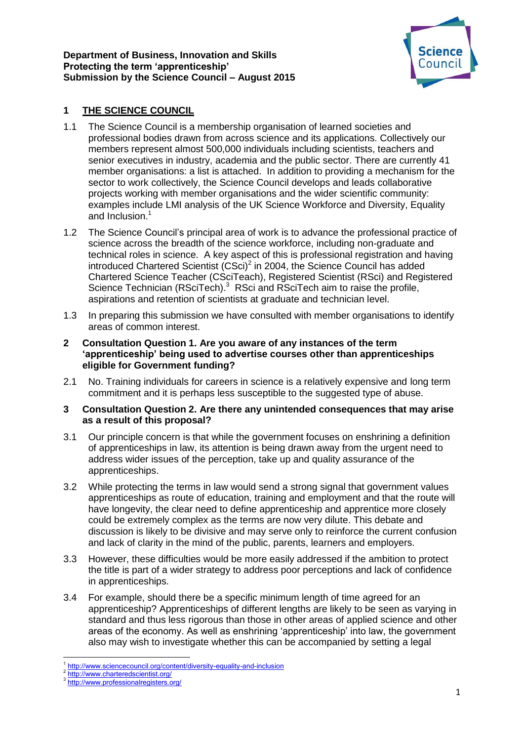

# **1 THE SCIENCE COUNCIL**

- 1.1 The Science Council is a membership organisation of learned societies and professional bodies drawn from across science and its applications. Collectively our members represent almost 500,000 individuals including scientists, teachers and senior executives in industry, academia and the public sector. There are currently 41 member organisations: a list is attached. In addition to providing a mechanism for the sector to work collectively, the Science Council develops and leads collaborative projects working with member organisations and the wider scientific community: examples include LMI analysis of the UK Science Workforce and Diversity, Equality and Inclusion.<sup>1</sup>
- 1.2 The Science Council's principal area of work is to advance the professional practice of science across the breadth of the science workforce, including non-graduate and technical roles in science. A key aspect of this is professional registration and having introduced Chartered Scientist  $(CSci)^2$  in 2004, the Science Council has added Chartered Science Teacher (CSciTeach), Registered Scientist (RSci) and Registered Science Technician (RSciTech).<sup>3</sup> RSci and RSciTech aim to raise the profile, aspirations and retention of scientists at graduate and technician level.
- 1.3 In preparing this submission we have consulted with member organisations to identify areas of common interest.
- **2 Consultation Question 1. Are you aware of any instances of the term 'apprenticeship' being used to advertise courses other than apprenticeships eligible for Government funding?**
- 2.1 No. Training individuals for careers in science is a relatively expensive and long term commitment and it is perhaps less susceptible to the suggested type of abuse.

## **3 Consultation Question 2. Are there any unintended consequences that may arise as a result of this proposal?**

- 3.1 Our principle concern is that while the government focuses on enshrining a definition of apprenticeships in law, its attention is being drawn away from the urgent need to address wider issues of the perception, take up and quality assurance of the apprenticeships.
- 3.2 While protecting the terms in law would send a strong signal that government values apprenticeships as route of education, training and employment and that the route will have longevity, the clear need to define apprenticeship and apprentice more closely could be extremely complex as the terms are now very dilute. This debate and discussion is likely to be divisive and may serve only to reinforce the current confusion and lack of clarity in the mind of the public, parents, learners and employers.
- 3.3 However, these difficulties would be more easily addressed if the ambition to protect the title is part of a wider strategy to address poor perceptions and lack of confidence in apprenticeships.
- 3.4 For example, should there be a specific minimum length of time agreed for an apprenticeship? Apprenticeships of different lengths are likely to be seen as varying in standard and thus less rigorous than those in other areas of applied science and other areas of the economy. As well as enshrining 'apprenticeship' into law, the government also may wish to investigate whether this can be accompanied by setting a legal

**<sup>.</sup>** <sup>1</sup> <http://www.sciencecouncil.org/content/diversity-equality-and-inclusion>

<sup>2</sup> <http://www.charteredscientist.org/>

<sup>3</sup> <http://www.professionalregisters.org/>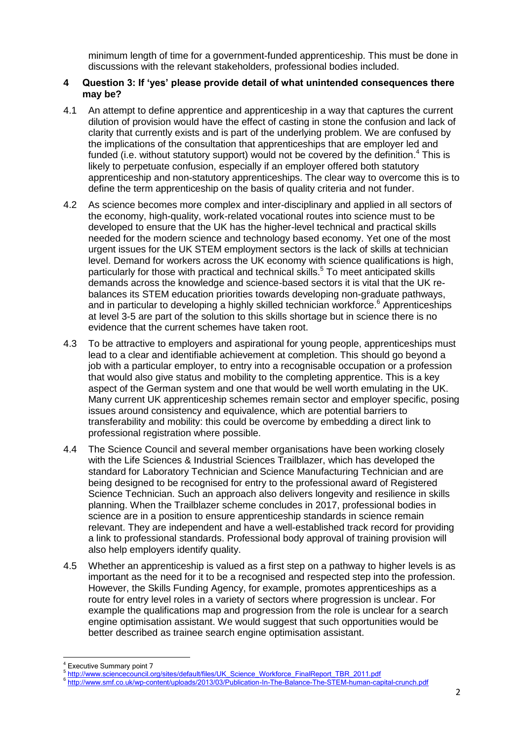minimum length of time for a government-funded apprenticeship. This must be done in discussions with the relevant stakeholders, professional bodies included.

## **4 Question 3: If 'yes' please provide detail of what unintended consequences there may be?**

- 4.1 An attempt to define apprentice and apprenticeship in a way that captures the current dilution of provision would have the effect of casting in stone the confusion and lack of clarity that currently exists and is part of the underlying problem. We are confused by the implications of the consultation that apprenticeships that are employer led and funded (i.e. without statutory support) would not be covered by the definition.<sup>4</sup> This is likely to perpetuate confusion, especially if an employer offered both statutory apprenticeship and non-statutory apprenticeships. The clear way to overcome this is to define the term apprenticeship on the basis of quality criteria and not funder.
- 4.2 As science becomes more complex and inter-disciplinary and applied in all sectors of the economy, high-quality, work-related vocational routes into science must to be developed to ensure that the UK has the higher-level technical and practical skills needed for the modern science and technology based economy. Yet one of the most urgent issues for the UK STEM employment sectors is the lack of skills at technician level. Demand for workers across the UK economy with science qualifications is high, particularly for those with practical and technical skills.<sup>5</sup> To meet anticipated skills demands across the knowledge and science-based sectors it is vital that the UK rebalances its STEM education priorities towards developing non-graduate pathways, and in particular to developing a highly skilled technician workforce.<sup>6</sup> Apprenticeships at level 3-5 are part of the solution to this skills shortage but in science there is no evidence that the current schemes have taken root.
- 4.3 To be attractive to employers and aspirational for young people, apprenticeships must lead to a clear and identifiable achievement at completion. This should go beyond a job with a particular employer, to entry into a recognisable occupation or a profession that would also give status and mobility to the completing apprentice. This is a key aspect of the German system and one that would be well worth emulating in the UK. Many current UK apprenticeship schemes remain sector and employer specific, posing issues around consistency and equivalence, which are potential barriers to transferability and mobility: this could be overcome by embedding a direct link to professional registration where possible.
- 4.4 The Science Council and several member organisations have been working closely with the Life Sciences & Industrial Sciences Trailblazer, which has developed the standard for Laboratory Technician and Science Manufacturing Technician and are being designed to be recognised for entry to the professional award of Registered Science Technician. Such an approach also delivers longevity and resilience in skills planning. When the Trailblazer scheme concludes in 2017, professional bodies in science are in a position to ensure apprenticeship standards in science remain relevant. They are independent and have a well-established track record for providing a link to professional standards. Professional body approval of training provision will also help employers identify quality.
- 4.5 Whether an apprenticeship is valued as a first step on a pathway to higher levels is as important as the need for it to be a recognised and respected step into the profession. However, the Skills Funding Agency, for example, promotes apprenticeships as a route for entry level roles in a variety of sectors where progression is unclear. For example the qualifications map and progression from the role is unclear for a search engine optimisation assistant. We would suggest that such opportunities would be better described as trainee search engine optimisation assistant.

**<sup>.</sup>** <sup>4</sup> Executive Summary point 7

<sup>5</sup> [http://www.sciencecouncil.org/sites/default/files/UK\\_Science\\_Workforce\\_FinalReport\\_TBR\\_2011.pdf](http://www.sciencecouncil.org/sites/default/files/UK_Science_Workforce_FinalReport_TBR_2011.pdf)

<sup>6</sup> <http://www.smf.co.uk/wp-content/uploads/2013/03/Publication-In-The-Balance-The-STEM-human-capital-crunch.pdf>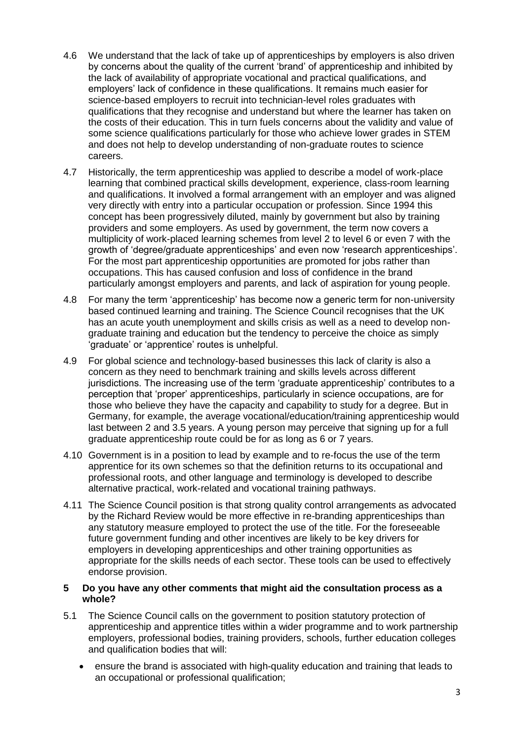- 4.6 We understand that the lack of take up of apprenticeships by employers is also driven by concerns about the quality of the current 'brand' of apprenticeship and inhibited by the lack of availability of appropriate vocational and practical qualifications, and employers' lack of confidence in these qualifications. It remains much easier for science-based employers to recruit into technician-level roles graduates with qualifications that they recognise and understand but where the learner has taken on the costs of their education. This in turn fuels concerns about the validity and value of some science qualifications particularly for those who achieve lower grades in STEM and does not help to develop understanding of non-graduate routes to science careers.
- 4.7 Historically, the term apprenticeship was applied to describe a model of work-place learning that combined practical skills development, experience, class-room learning and qualifications. It involved a formal arrangement with an employer and was aligned very directly with entry into a particular occupation or profession. Since 1994 this concept has been progressively diluted, mainly by government but also by training providers and some employers. As used by government, the term now covers a multiplicity of work-placed learning schemes from level 2 to level 6 or even 7 with the growth of 'degree/graduate apprenticeships' and even now 'research apprenticeships'. For the most part apprenticeship opportunities are promoted for jobs rather than occupations. This has caused confusion and loss of confidence in the brand particularly amongst employers and parents, and lack of aspiration for young people.
- 4.8 For many the term 'apprenticeship' has become now a generic term for non-university based continued learning and training. The Science Council recognises that the UK has an acute youth unemployment and skills crisis as well as a need to develop nongraduate training and education but the tendency to perceive the choice as simply 'graduate' or 'apprentice' routes is unhelpful.
- 4.9 For global science and technology-based businesses this lack of clarity is also a concern as they need to benchmark training and skills levels across different jurisdictions. The increasing use of the term 'graduate apprenticeship' contributes to a perception that 'proper' apprenticeships, particularly in science occupations, are for those who believe they have the capacity and capability to study for a degree. But in Germany, for example, the average vocational/education/training apprenticeship would last between 2 and 3.5 years. A young person may perceive that signing up for a full graduate apprenticeship route could be for as long as 6 or 7 years.
- 4.10 Government is in a position to lead by example and to re-focus the use of the term apprentice for its own schemes so that the definition returns to its occupational and professional roots, and other language and terminology is developed to describe alternative practical, work-related and vocational training pathways.
- 4.11 The Science Council position is that strong quality control arrangements as advocated by the Richard Review would be more effective in re-branding apprenticeships than any statutory measure employed to protect the use of the title. For the foreseeable future government funding and other incentives are likely to be key drivers for employers in developing apprenticeships and other training opportunities as appropriate for the skills needs of each sector. These tools can be used to effectively endorse provision.

#### **5 Do you have any other comments that might aid the consultation process as a whole?**

- 5.1 The Science Council calls on the government to position statutory protection of apprenticeship and apprentice titles within a wider programme and to work partnership employers, professional bodies, training providers, schools, further education colleges and qualification bodies that will:
	- ensure the brand is associated with high-quality education and training that leads to an occupational or professional qualification;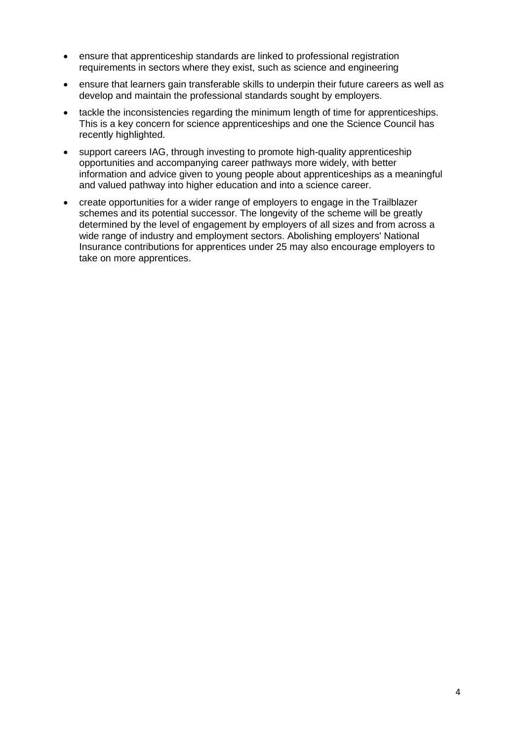- ensure that apprenticeship standards are linked to professional registration requirements in sectors where they exist, such as science and engineering
- ensure that learners gain transferable skills to underpin their future careers as well as develop and maintain the professional standards sought by employers.
- tackle the inconsistencies regarding the minimum length of time for apprenticeships. This is a key concern for science apprenticeships and one the Science Council has recently highlighted.
- support careers IAG, through investing to promote high-quality apprenticeship opportunities and accompanying career pathways more widely, with better information and advice given to young people about apprenticeships as a meaningful and valued pathway into higher education and into a science career.
- create opportunities for a wider range of employers to engage in the Trailblazer schemes and its potential successor. The longevity of the scheme will be greatly determined by the level of engagement by employers of all sizes and from across a wide range of industry and employment sectors. Abolishing employers' National Insurance contributions for apprentices under 25 may also encourage employers to take on more apprentices.